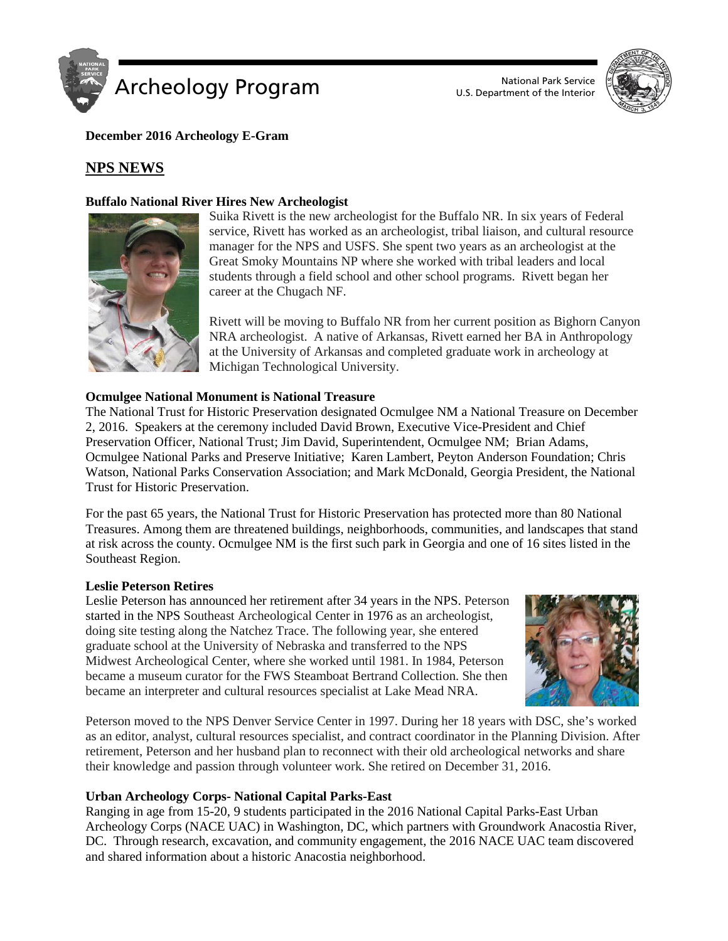

U.S. Department of the Interior



**December 2016 Archeology E-Gram**

# **NPS NEWS**

## **Buffalo National River Hires New Archeologist**



Suika Rivett is the new archeologist for the Buffalo NR. In six years of Federal service, Rivett has worked as an archeologist, tribal liaison, and cultural resource manager for the NPS and USFS. She spent two years as an archeologist at the Great Smoky Mountains NP where she worked with tribal leaders and local students through a field school and other school programs. Rivett began her career at the Chugach NF.

Rivett will be moving to Buffalo NR from her current position as Bighorn Canyon NRA archeologist. A native of Arkansas, Rivett earned her BA in Anthropology at the University of Arkansas and completed graduate work in archeology at Michigan Technological University.

#### **Ocmulgee National Monument is National Treasure**

The National Trust for Historic Preservation designated Ocmulgee NM a National Treasure on December 2, 2016. Speakers at the ceremony included David Brown, Executive Vice-President and Chief Preservation Officer, National Trust; Jim David, Superintendent, Ocmulgee NM; Brian Adams, Ocmulgee National Parks and Preserve Initiative; Karen Lambert, Peyton Anderson Foundation; Chris Watson, National Parks Conservation Association; and Mark McDonald, Georgia President, the National Trust for Historic Preservation.

For the past 65 years, the National Trust for Historic Preservation has protected more than 80 National Treasures. Among them are threatened buildings, neighborhoods, communities, and landscapes that stand at risk across the county. Ocmulgee NM is the first such park in Georgia and one of 16 sites listed in the Southeast Region.

#### **Leslie Peterson Retires**

Leslie Peterson has announced her retirement after 34 years in the NPS. Peterson started in the NPS Southeast Archeological Center in 1976 as an archeologist, doing site testing along the Natchez Trace. The following year, she entered graduate school at the University of Nebraska and transferred to the NPS Midwest Archeological Center, where she worked until 1981. In 1984, Peterson became a museum curator for the FWS Steamboat Bertrand Collection. She then became an interpreter and cultural resources specialist at Lake Mead NRA.



Peterson moved to the NPS Denver Service Center in 1997. During her 18 years with DSC, she's worked as an editor, analyst, cultural resources specialist, and contract coordinator in the Planning Division. After retirement, Peterson and her husband plan to reconnect with their old archeological networks and share their knowledge and passion through volunteer work. She retired on December 31, 2016.

## **Urban Archeology Corps- National Capital Parks-East**

Ranging in age from 15-20, 9 students participated in the 2016 National Capital Parks-East Urban Archeology Corps (NACE UAC) in Washington, DC, which partners with Groundwork Anacostia River, DC. Through research, excavation, and community engagement, the 2016 NACE UAC team discovered and shared information about a historic Anacostia neighborhood.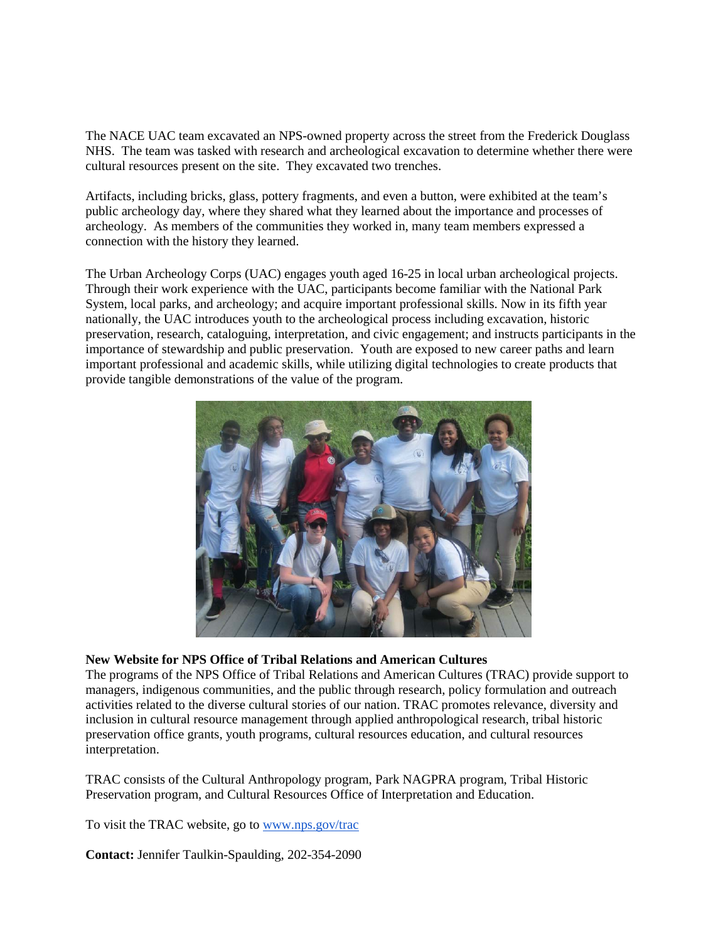The NACE UAC team excavated an NPS-owned property across the street from the Frederick Douglass NHS. The team was tasked with research and archeological excavation to determine whether there were cultural resources present on the site. They excavated two trenches.

Artifacts, including bricks, glass, pottery fragments, and even a button, were exhibited at the team's public archeology day, where they shared what they learned about the importance and processes of archeology. As members of the communities they worked in, many team members expressed a connection with the history they learned.

The Urban Archeology Corps (UAC) engages youth aged 16-25 in local urban archeological projects. Through their work experience with the UAC, participants become familiar with the National Park System, local parks, and archeology; and acquire important professional skills. Now in its fifth year nationally, the UAC introduces youth to the archeological process including excavation, historic preservation, research, cataloguing, interpretation, and civic engagement; and instructs participants in the importance of stewardship and public preservation. Youth are exposed to new career paths and learn important professional and academic skills, while utilizing digital technologies to create products that provide tangible demonstrations of the value of the program.



#### **New Website for NPS Office of Tribal Relations and American Cultures**

The programs of the NPS Office of Tribal Relations and American Cultures (TRAC) provide support to managers, indigenous communities, and the public through research, policy formulation and outreach activities related to the diverse cultural stories of our nation. TRAC promotes relevance, diversity and inclusion in cultural resource management through applied anthropological research, tribal historic preservation office grants, youth programs, cultural resources education, and cultural resources interpretation.

TRAC consists of the Cultural Anthropology program, Park NAGPRA program, Tribal Historic Preservation program, and Cultural Resources Office of Interpretation and Education.

To visit the TRAC website, go to [www.nps.gov/trac](http://www.nps.gov/trac)

**Contact:** Jennifer Taulkin-Spaulding, 202-354-2090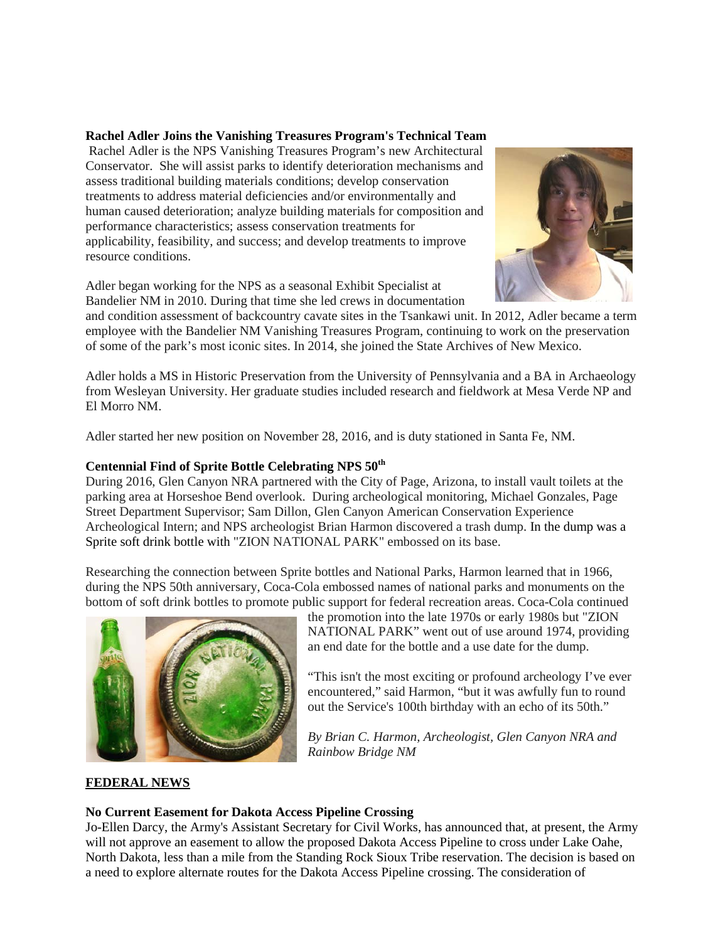## **[Rachel Adler Joins the Vanishing Treasures Program's Technical Team](https://sites.google.com/a/nps.gov/insidenps/home/people-news/racheladlerjoinsthevanishingtreasuresprogramstechnicalteam)**

Rachel Adler is the NPS Vanishing Treasures Program's new Architectural Conservator. She will assist parks to identify deterioration mechanisms and assess traditional building materials conditions; develop conservation treatments to address material deficiencies and/or environmentally and human caused deterioration; analyze building materials for composition and performance characteristics; assess conservation treatments for applicability, feasibility, and success; and develop treatments to improve resource conditions.



Adler began working for the NPS as a seasonal Exhibit Specialist at Bandelier NM in 2010. During that time she led crews in documentation

and condition assessment of backcountry cavate sites in the Tsankawi unit. In 2012, Adler became a term employee with the Bandelier NM Vanishing Treasures Program, continuing to work on the preservation of some of the park's most iconic sites. In 2014, she joined the State Archives of New Mexico.

Adler holds a MS in Historic Preservation from the University of Pennsylvania and a BA in Archaeology from Wesleyan University. Her graduate studies included research and fieldwork at Mesa Verde NP and El Morro NM.

Adler started her new position on November 28, 2016, and is duty stationed in Santa Fe, NM.

# **Centennial Find of Sprite Bottle Celebrating NPS 50th**

During 2016, Glen Canyon NRA partnered with the City of Page, Arizona, to install vault toilets at the parking area at Horseshoe Bend overlook. During archeological monitoring, Michael Gonzales, Page Street Department Supervisor; Sam Dillon, Glen Canyon American Conservation Experience Archeological Intern; and NPS archeologist Brian Harmon discovered a trash dump. In the dump was a Sprite soft drink bottle with "ZION NATIONAL PARK" embossed on its base.

Researching the connection between Sprite bottles and National Parks, Harmon learned that in 1966, during the NPS 50th anniversary, Coca-Cola embossed names of national parks and monuments on the bottom of soft drink bottles to promote public support for federal recreation areas. Coca-Cola continued



the promotion into the late 1970s or early 1980s but "ZION NATIONAL PARK" went out of use around 1974, providing an end date for the bottle and a use date for the dump.

"This isn't the most exciting or profound archeology I've ever encountered," said Harmon, "but it was awfully fun to round out the Service's 100th birthday with an echo of its 50th."

*By Brian C. Harmon, Archeologist, Glen Canyon NRA and Rainbow Bridge NM*

## **FEDERAL NEWS**

## **No Current Easement for Dakota Access Pipeline Crossing**

Jo-Ellen Darcy, the Army's Assistant Secretary for Civil Works, has announced that, at present, the Army will not approve an easement to allow the proposed Dakota Access Pipeline to cross under Lake Oahe, North Dakota, less than a mile from the Standing Rock Sioux Tribe reservation. The decision is based on a need to explore alternate routes for the Dakota Access Pipeline crossing. The consideration of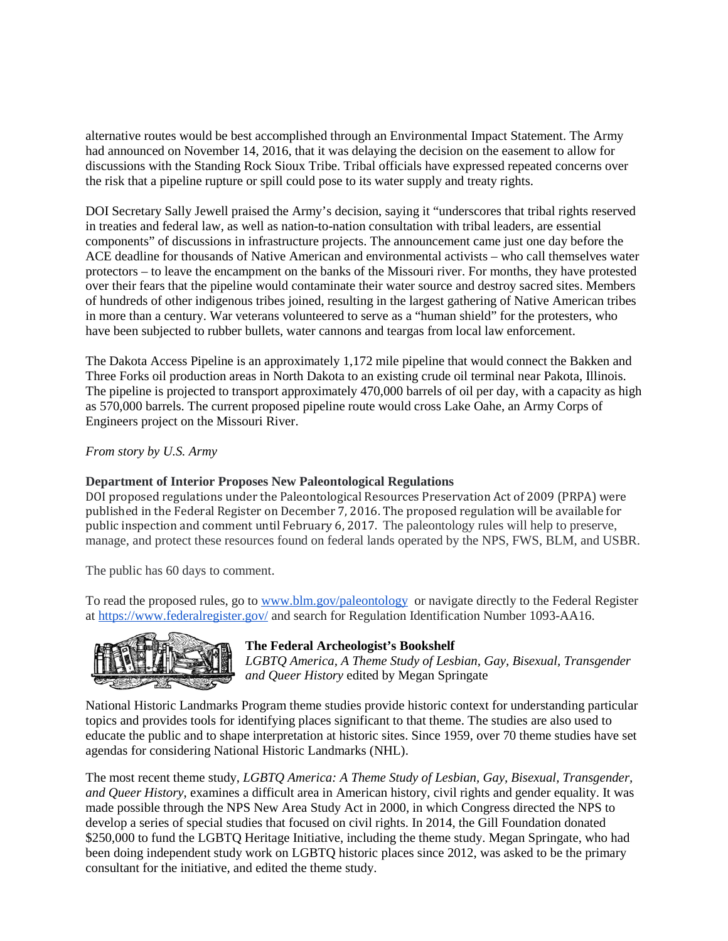alternative routes would be best accomplished through an Environmental Impact Statement. The Army had announced on November 14, 2016, that it was delaying the decision on the easement to allow for discussions with the Standing Rock Sioux Tribe. Tribal officials have expressed repeated concerns over the risk that a pipeline rupture or spill could pose to its water supply and treaty rights.

DOI Secretary Sally Jewell praised the Army's decision, saying it "underscores that tribal rights reserved in treaties and federal law, as well as nation-to-nation consultation with tribal leaders, are essential components" of discussions in infrastructure projects. The announcement came just one day before the ACE deadline for thousands of Native American and environmental activists – who call themselves water protectors – to leave the encampment on the banks of the Missouri river. For months, they have protested over their fears that the pipeline would contaminate their water source and destroy sacred sites. Members of hundreds of other indigenous tribes joined, resulting in the largest gathering of Native American tribes in more than a century. War veterans volunteered to serve as a "human shield" for the protesters, who have been subjected to rubber bullets, water cannons and teargas from local law enforcement.

The Dakota Access Pipeline is an approximately 1,172 mile pipeline that would connect the Bakken and Three Forks oil production areas in North Dakota to an existing crude oil terminal near Pakota, Illinois. The pipeline is projected to transport approximately 470,000 barrels of oil per day, with a capacity as high as 570,000 barrels. The current proposed pipeline route would cross Lake Oahe, an Army Corps of Engineers project on the Missouri River.

*From story by U.S. Army*

## **Department of Interior Proposes New Paleontological Regulations**

DOI proposed regulations under the Paleontological Resources Preservation Act of 2009 (PRPA) were published in the Federal Register on December 7, 2016. The proposed regulation will be available for public inspection and comment until February 6, 2017. The paleontology rules will help to preserve, manage, and protect these resources found on federal lands operated by the NPS, FWS, BLM, and USBR.

The public has 60 days to comment.

To read the proposed rules, go to [www.blm.gov/paleontology](http://www.blm.gov/paleontology) or navigate directly to the Federal Register at <https://www.federalregister.gov/> and search for Regulation Identification Number 1093-AA16.



## **The Federal Archeologist's Bookshelf**

*LGBTQ America, A Theme Study of Lesbian, Gay, Bisexual, Transgender and Queer History* edited by Megan Springate

National Historic Landmarks Program theme studies provide historic context for understanding particular topics and provides tools for identifying places significant to that theme. The studies are also used to educate the public and to shape interpretation at historic sites. Since 1959, over 70 theme studies have set agendas for considering National Historic Landmarks (NHL).

The most recent theme study, *LGBTQ America: A Theme Study of Lesbian, Gay, Bisexual, Transgender, and Queer History*, examines a difficult area in American history, civil rights and gender equality. It was made possible through the NPS New Area Study Act in 2000, in which Congress directed the NPS to develop a series of special studies that focused on civil rights. In 2014, the Gill Foundation donated \$250,000 to fund the LGBTQ Heritage Initiative, including the theme study. Megan Springate, who had been doing independent study work on LGBTQ historic places since 2012, was asked to be the primary consultant for the initiative, and edited the theme study.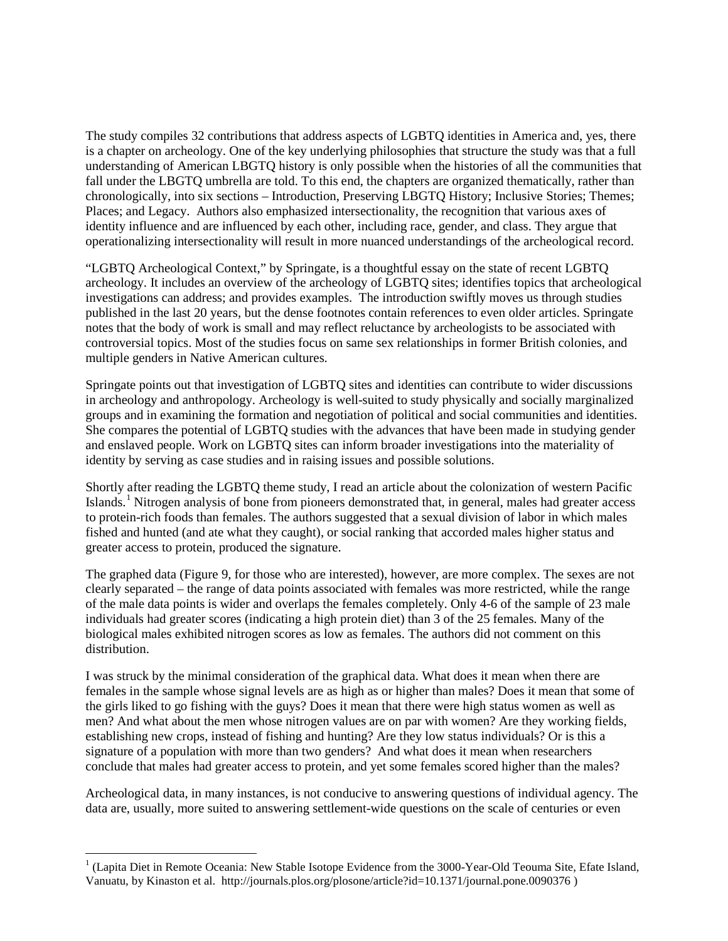The study compiles 32 contributions that address aspects of LGBTQ identities in America and, yes, there is a chapter on archeology. One of the key underlying philosophies that structure the study was that a full understanding of American LBGTQ history is only possible when the histories of all the communities that fall under the LBGTQ umbrella are told. To this end, the chapters are organized thematically, rather than chronologically, into six sections – Introduction, Preserving LBGTQ History; Inclusive Stories; Themes; Places; and Legacy. Authors also emphasized intersectionality, the recognition that various axes of identity influence and are influenced by each other, including race, gender, and class. They argue that operationalizing intersectionality will result in more nuanced understandings of the archeological record.

"LGBTQ Archeological Context," by Springate, is a thoughtful essay on the state of recent LGBTQ archeology. It includes an overview of the archeology of LGBTQ sites; identifies topics that archeological investigations can address; and provides examples. The introduction swiftly moves us through studies published in the last 20 years, but the dense footnotes contain references to even older articles. Springate notes that the body of work is small and may reflect reluctance by archeologists to be associated with controversial topics. Most of the studies focus on same sex relationships in former British colonies, and multiple genders in Native American cultures.

Springate points out that investigation of LGBTQ sites and identities can contribute to wider discussions in archeology and anthropology. Archeology is well-suited to study physically and socially marginalized groups and in examining the formation and negotiation of political and social communities and identities. She compares the potential of LGBTQ studies with the advances that have been made in studying gender and enslaved people. Work on LGBTQ sites can inform broader investigations into the materiality of identity by serving as case studies and in raising issues and possible solutions.

Shortly after reading the LGBTQ theme study, I read an article about the colonization of western Pacific Islands.<sup>[1](#page-4-0)</sup> Nitrogen analysis of bone from pioneers demonstrated that, in general, males had greater access to protein-rich foods than females. The authors suggested that a sexual division of labor in which males fished and hunted (and ate what they caught), or social ranking that accorded males higher status and greater access to protein, produced the signature.

The graphed data (Figure 9, for those who are interested), however, are more complex. The sexes are not clearly separated – the range of data points associated with females was more restricted, while the range of the male data points is wider and overlaps the females completely. Only 4-6 of the sample of 23 male individuals had greater scores (indicating a high protein diet) than 3 of the 25 females. Many of the biological males exhibited nitrogen scores as low as females. The authors did not comment on this distribution.

I was struck by the minimal consideration of the graphical data. What does it mean when there are females in the sample whose signal levels are as high as or higher than males? Does it mean that some of the girls liked to go fishing with the guys? Does it mean that there were high status women as well as men? And what about the men whose nitrogen values are on par with women? Are they working fields, establishing new crops, instead of fishing and hunting? Are they low status individuals? Or is this a signature of a population with more than two genders? And what does it mean when researchers conclude that males had greater access to protein, and yet some females scored higher than the males?

Archeological data, in many instances, is not conducive to answering questions of individual agency. The data are, usually, more suited to answering settlement-wide questions on the scale of centuries or even

<span id="page-4-0"></span> $<sup>1</sup>$  (Lapita Diet in Remote Oceania: New Stable Isotope Evidence from the 3000-Year-Old Teouma Site, Efate Island,</sup> Vanuatu, by Kinaston et al. http://journals.plos.org/plosone/article?id=10.1371/journal.pone.0090376 )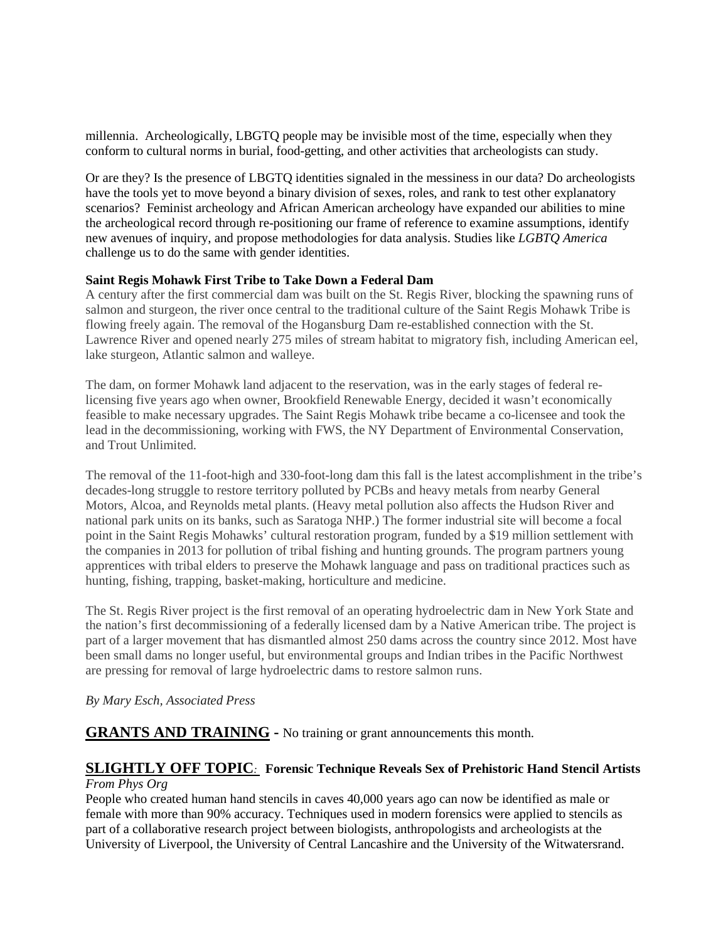millennia. Archeologically, LBGTQ people may be invisible most of the time, especially when they conform to cultural norms in burial, food-getting, and other activities that archeologists can study.

Or are they? Is the presence of LBGTQ identities signaled in the messiness in our data? Do archeologists have the tools yet to move beyond a binary division of sexes, roles, and rank to test other explanatory scenarios? Feminist archeology and African American archeology have expanded our abilities to mine the archeological record through re-positioning our frame of reference to examine assumptions, identify new avenues of inquiry, and propose methodologies for data analysis. Studies like *LGBTQ America* challenge us to do the same with gender identities.

## **Saint Regis Mohawk First Tribe to Take Down a Federal Dam**

A century after the first commercial dam was built on the St. Regis River, blocking the spawning runs of salmon and sturgeon, the river once central to the traditional culture of the Saint Regis Mohawk Tribe is flowing freely again. The removal of the Hogansburg Dam re-established connection with the St. Lawrence River and opened nearly 275 miles of stream habitat to migratory fish, including American eel, lake sturgeon, Atlantic salmon and walleye.

The dam, on former Mohawk land adjacent to the reservation, was in the early stages of federal relicensing five years ago when owner, Brookfield Renewable Energy, decided it wasn't economically feasible to make necessary upgrades. The Saint Regis Mohawk tribe became a co-licensee and took the lead in the decommissioning, working with FWS, the NY Department of Environmental Conservation, and Trout Unlimited.

The removal of the 11-foot-high and 330-foot-long dam this fall is the latest accomplishment in the tribe's decades-long struggle to restore territory polluted by PCBs and heavy metals from nearby General Motors, Alcoa, and Reynolds metal plants. (Heavy metal pollution also affects the Hudson River and national park units on its banks, such as Saratoga NHP.) The former industrial site will become a focal point in the Saint Regis Mohawks' cultural restoration program, funded by a \$19 million settlement with the companies in 2013 for pollution of tribal fishing and hunting grounds. The program partners young apprentices with tribal elders to preserve the Mohawk language and pass on traditional practices such as hunting, fishing, trapping, basket-making, horticulture and medicine.

The St. Regis River project is the first removal of an operating hydroelectric dam in New York State and the nation's first decommissioning of a federally licensed dam by a Native American tribe. The project is part of a larger movement that has dismantled almost 250 dams across the country since 2012. Most have been small dams no longer useful, but environmental groups and Indian tribes in the Pacific Northwest are pressing for removal of large hydroelectric dams to restore salmon runs.

# *By Mary Esch, Associated Press*

**GRANTS AND TRAINING -** No training or grant announcements this month.

## **SLIGHTLY OFF TOPIC***:* **Forensic Technique Reveals Sex of Prehistoric Hand Stencil Artists** *From Phys Org*

People who created human hand stencils in caves 40,000 years ago can now be identified as male or female with more than 90% accuracy. Techniques used in modern forensics were applied to stencils as part of a collaborative research project between biologists, anthropologists and archeologists at the University of Liverpool, the University of Central Lancashire and the University of the Witwatersrand.